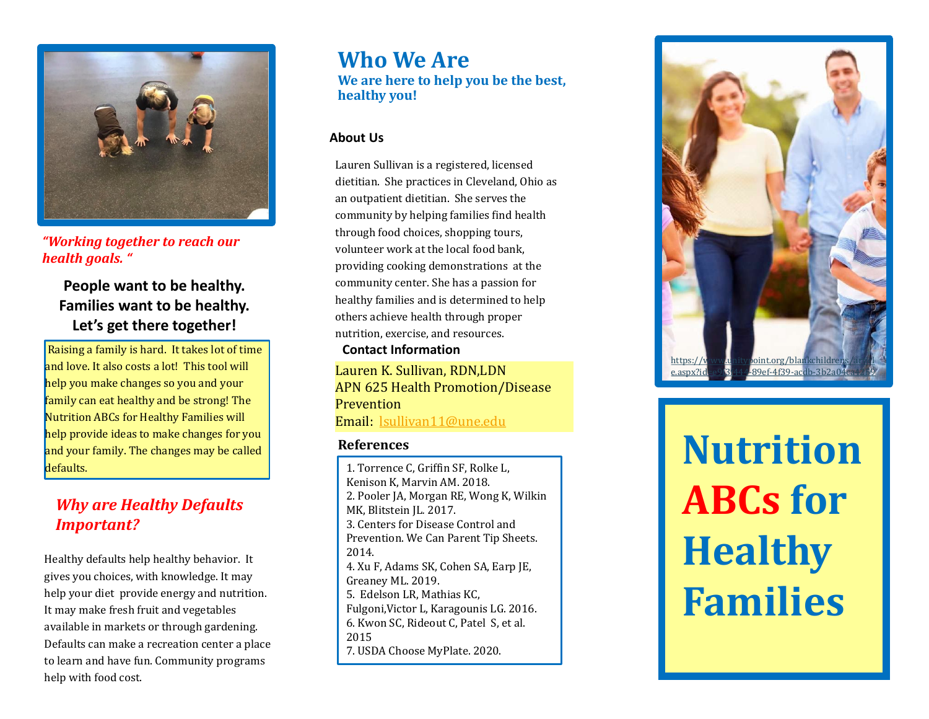

*"Working together to reach our health goals. "*

### **People want to be healthy. Families want to be healthy. Let's get there together!**

Raising a family is hard. It takes lot of time and love. It also costs a lot! This tool will help you make changes so you and your family can eat healthy and be strong! The Nutrition ABCs for Healthy Families will help provide ideas to make changes for you and your family. The changes may be called defaults.

### *Why are Healthy Defaults Important?*

Healthy defaults help healthy behavior. It gives you choices, with knowledge. It may help your diet provide energy and nutrition. It may make fresh fruit and vegetables available in markets or through gardening. Defaults can make a recreation center a place to learn and have fun. Community programs help with food cost.

### **Who We Are We are here to help you be the best, healthy you!**

#### **About Us**

Lauren Sullivan is a registered, licensed dietitian. She practices in Cleveland, Ohio as an outpatient dietitian. She serves the community by helping families find health through food choices, shopping tours, volunteer work at the local food bank, providing cooking demonstrations at the community center. She has a passion for healthy families and is determined to help others achieve health through proper nutrition, exercise, and resources.

**Contact Information**

Lauren K. Sullivan, RDN,LDN APN 625 Health Promotion/Disease **Prevention** Email: [lsullivan11@une.edu](mailto:lsullivan11@une.edu)

#### **References**

1. Torrence C, Griffin SF, Rolke L, Kenison K, Marvin AM. 2018. 2. Pooler JA, Morgan RE, Wong K, Wilkin MK, Blitstein JL*.* 2017. 3. Centers for Disease Control and Prevention. We Can Parent Tip Sheets. 2014. 4. Xu F, Adams SK, Cohen SA, Earp JE, Greaney ML. 2019. 5. Edelson LR, Mathias KC, Fulgoni,Victor L, Karagounis LG. 2016. 6. Kwon SC, Rideout C, Patel S, et al. 2015 7. USDA Choose MyPlate. 2020.



**Nutrition ABCs for Healthy Families**